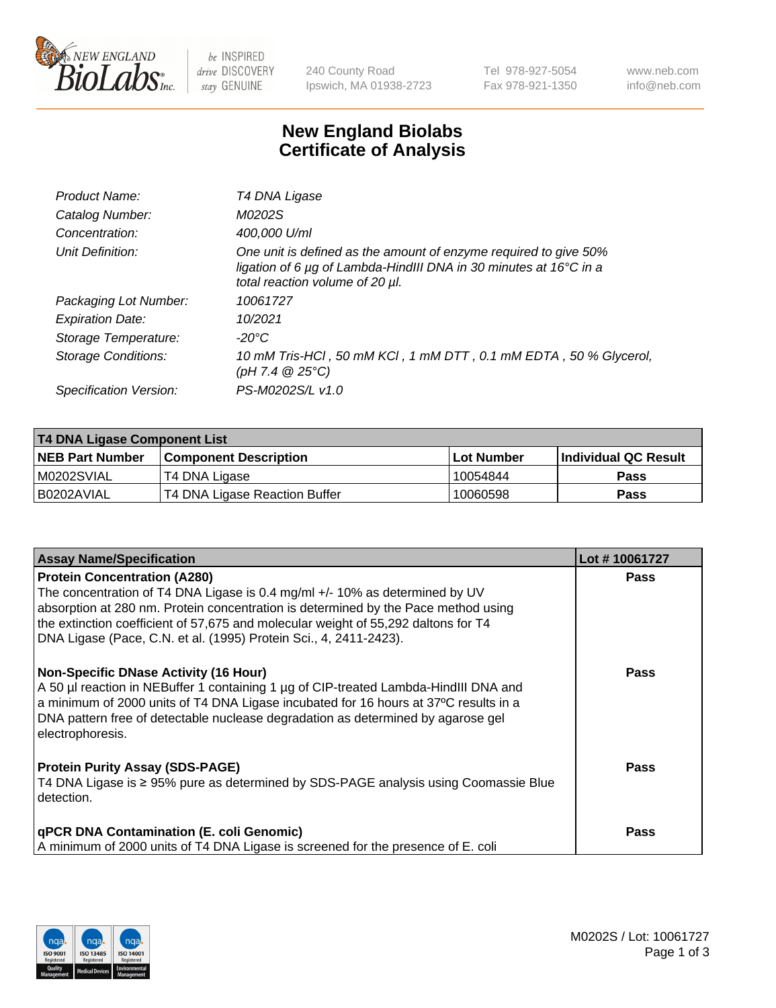

 $be$  INSPIRED drive DISCOVERY stay GENUINE

240 County Road Ipswich, MA 01938-2723 Tel 978-927-5054 Fax 978-921-1350 www.neb.com info@neb.com

## **New England Biolabs Certificate of Analysis**

| Product Name:           | T4 DNA Ligase                                                                                                                                                            |
|-------------------------|--------------------------------------------------------------------------------------------------------------------------------------------------------------------------|
| Catalog Number:         | M0202S                                                                                                                                                                   |
| Concentration:          | 400,000 U/ml                                                                                                                                                             |
| Unit Definition:        | One unit is defined as the amount of enzyme required to give 50%<br>ligation of 6 µg of Lambda-HindIII DNA in 30 minutes at 16°C in a<br>total reaction volume of 20 µl. |
| Packaging Lot Number:   | 10061727                                                                                                                                                                 |
| <b>Expiration Date:</b> | 10/2021                                                                                                                                                                  |
| Storage Temperature:    | $-20^{\circ}$ C                                                                                                                                                          |
| Storage Conditions:     | 10 mM Tris-HCl, 50 mM KCl, 1 mM DTT, 0.1 mM EDTA, 50 % Glycerol,<br>(pH 7.4 $@25°C$ )                                                                                    |
| Specification Version:  | PS-M0202S/L v1.0                                                                                                                                                         |

| T4 DNA Ligase Component List |                               |            |                             |  |
|------------------------------|-------------------------------|------------|-----------------------------|--|
| <b>NEB Part Number</b>       | <b>Component Description</b>  | Lot Number | <b>Individual QC Result</b> |  |
| M0202SVIAL                   | T4 DNA Ligase                 | 10054844   | Pass                        |  |
| I B0202AVIAL                 | T4 DNA Ligase Reaction Buffer | 10060598   | <b>Pass</b>                 |  |

| <b>Assay Name/Specification</b>                                                                                                                                                                                                                                                      | Lot #10061727 |
|--------------------------------------------------------------------------------------------------------------------------------------------------------------------------------------------------------------------------------------------------------------------------------------|---------------|
| <b>Protein Concentration (A280)</b><br>The concentration of T4 DNA Ligase is 0.4 mg/ml +/- 10% as determined by UV                                                                                                                                                                   | <b>Pass</b>   |
| absorption at 280 nm. Protein concentration is determined by the Pace method using<br>the extinction coefficient of 57,675 and molecular weight of 55,292 daltons for T4<br>DNA Ligase (Pace, C.N. et al. (1995) Protein Sci., 4, 2411-2423).                                        |               |
| <b>Non-Specific DNase Activity (16 Hour)</b>                                                                                                                                                                                                                                         | <b>Pass</b>   |
| A 50 µl reaction in NEBuffer 1 containing 1 µg of CIP-treated Lambda-HindIII DNA and<br>a minimum of 2000 units of T4 DNA Ligase incubated for 16 hours at 37°C results in a<br>DNA pattern free of detectable nuclease degradation as determined by agarose gel<br>electrophoresis. |               |
| <b>Protein Purity Assay (SDS-PAGE)</b>                                                                                                                                                                                                                                               | <b>Pass</b>   |
| T4 DNA Ligase is ≥ 95% pure as determined by SDS-PAGE analysis using Coomassie Blue<br>detection.                                                                                                                                                                                    |               |
| <b>qPCR DNA Contamination (E. coli Genomic)</b>                                                                                                                                                                                                                                      | <b>Pass</b>   |
| A minimum of 2000 units of T4 DNA Ligase is screened for the presence of E. coli                                                                                                                                                                                                     |               |

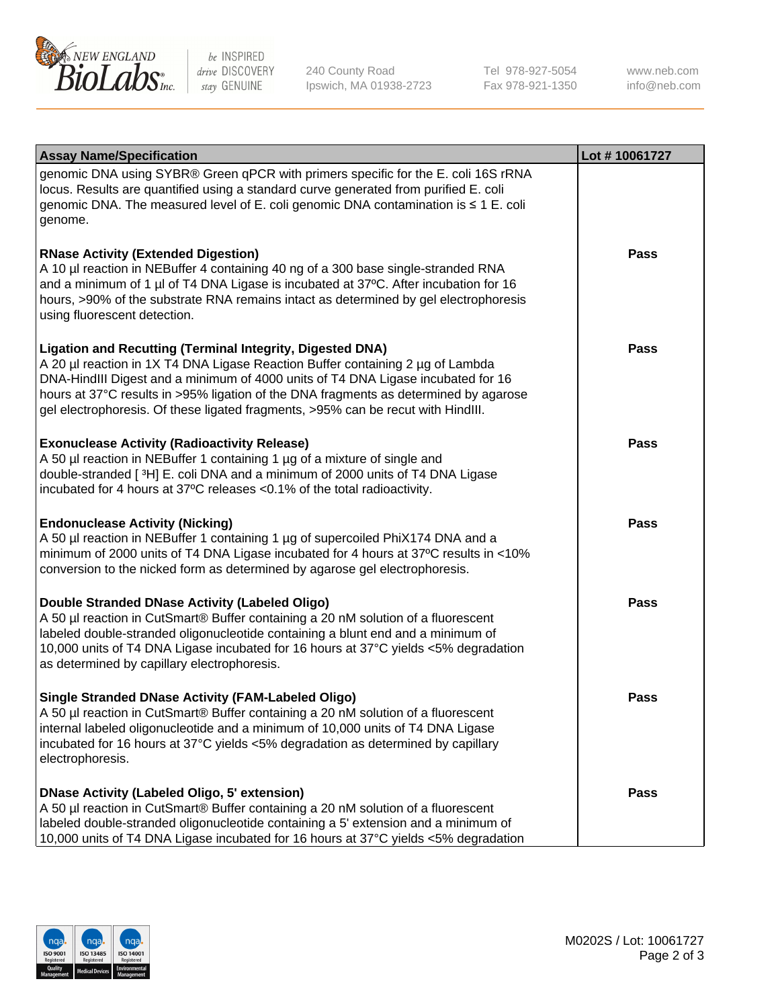

be INSPIRED drive DISCOVERY stay GENUINE

240 County Road Ipswich, MA 01938-2723 Tel 978-927-5054 Fax 978-921-1350

www.neb.com info@neb.com

| <b>Assay Name/Specification</b>                                                                                                                                                                                                                                                                                                                                                                                    | Lot #10061727 |
|--------------------------------------------------------------------------------------------------------------------------------------------------------------------------------------------------------------------------------------------------------------------------------------------------------------------------------------------------------------------------------------------------------------------|---------------|
| genomic DNA using SYBR® Green qPCR with primers specific for the E. coli 16S rRNA<br>locus. Results are quantified using a standard curve generated from purified E. coli<br>genomic DNA. The measured level of E. coli genomic DNA contamination is ≤ 1 E. coli<br>genome.                                                                                                                                        |               |
| <b>RNase Activity (Extended Digestion)</b><br>A 10 µl reaction in NEBuffer 4 containing 40 ng of a 300 base single-stranded RNA<br>and a minimum of 1 µl of T4 DNA Ligase is incubated at 37°C. After incubation for 16<br>hours, >90% of the substrate RNA remains intact as determined by gel electrophoresis<br>using fluorescent detection.                                                                    | Pass          |
| <b>Ligation and Recutting (Terminal Integrity, Digested DNA)</b><br>A 20 µl reaction in 1X T4 DNA Ligase Reaction Buffer containing 2 µg of Lambda<br>DNA-HindIII Digest and a minimum of 4000 units of T4 DNA Ligase incubated for 16<br>hours at 37°C results in >95% ligation of the DNA fragments as determined by agarose<br>gel electrophoresis. Of these ligated fragments, >95% can be recut with HindIII. | Pass          |
| <b>Exonuclease Activity (Radioactivity Release)</b><br>A 50 µl reaction in NEBuffer 1 containing 1 µg of a mixture of single and<br>double-stranded [3H] E. coli DNA and a minimum of 2000 units of T4 DNA Ligase<br>incubated for 4 hours at 37°C releases <0.1% of the total radioactivity.                                                                                                                      | Pass          |
| <b>Endonuclease Activity (Nicking)</b><br>A 50 µl reaction in NEBuffer 1 containing 1 µg of supercoiled PhiX174 DNA and a<br>minimum of 2000 units of T4 DNA Ligase incubated for 4 hours at 37°C results in <10%<br>conversion to the nicked form as determined by agarose gel electrophoresis.                                                                                                                   | <b>Pass</b>   |
| Double Stranded DNase Activity (Labeled Oligo)<br>A 50 µl reaction in CutSmart® Buffer containing a 20 nM solution of a fluorescent<br>labeled double-stranded oligonucleotide containing a blunt end and a minimum of<br>10,000 units of T4 DNA Ligase incubated for 16 hours at 37°C yields <5% degradation<br>as determined by capillary electrophoresis.                                                       | Pass          |
| <b>Single Stranded DNase Activity (FAM-Labeled Oligo)</b><br>A 50 µl reaction in CutSmart® Buffer containing a 20 nM solution of a fluorescent<br>internal labeled oligonucleotide and a minimum of 10,000 units of T4 DNA Ligase<br>incubated for 16 hours at 37°C yields <5% degradation as determined by capillary<br>electrophoresis.                                                                          | Pass          |
| <b>DNase Activity (Labeled Oligo, 5' extension)</b><br>A 50 µl reaction in CutSmart® Buffer containing a 20 nM solution of a fluorescent<br>labeled double-stranded oligonucleotide containing a 5' extension and a minimum of<br>10,000 units of T4 DNA Ligase incubated for 16 hours at 37°C yields <5% degradation                                                                                              | <b>Pass</b>   |